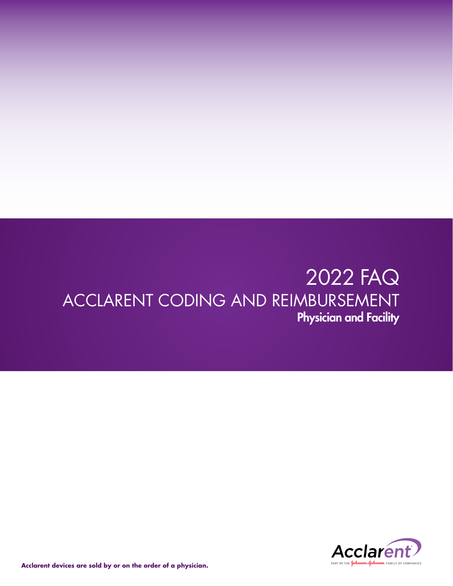# ACCLARENT CODING AND REIMBURSEMENT Physician and Facility 2022 FAQ



**Acclarent devices are sold by or on the order of a physician.**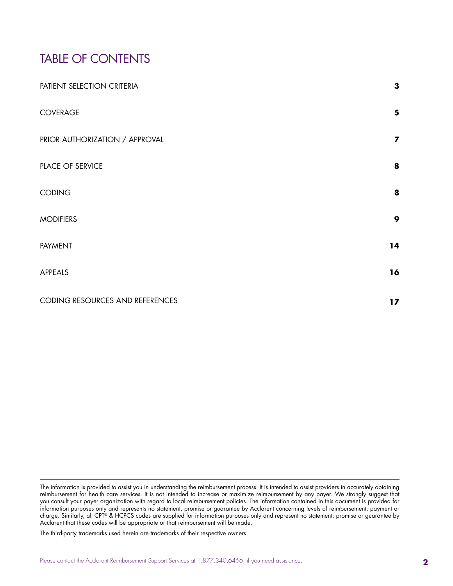## TABLE OF CONTENTS

| PATIENT SELECTION CRITERIA      | $\mathbf{3}$ |
|---------------------------------|--------------|
| COVERAGE                        | 5            |
| PRIOR AUTHORIZATION / APPROVAL  | 7            |
| PLACE OF SERVICE                | 8            |
| CODING                          | 8            |
| <b>MODIFIERS</b>                | 9            |
| <b>PAYMENT</b>                  | 14           |
| APPEALS                         | 16           |
| CODING RESOURCES AND REFERENCES | 17           |

The information is provided to assist you in understanding the reimbursement process. It is intended to assist providers in accurately obtaining reimbursement for health care services. It is not intended to increase or maximize reimbursement by any payer. We strongly suggest that you consult your payer organization with regard to local reimbursement policies. The information contained in this document is provided for information purposes only and represents no statement, promise or guarantee by Acclarent concerning levels of reimbursement, payment or charge. Similarly, all CPT® & HCPCS codes are supplied for information purposes only and represent no statement; promise or guarantee by Acclarent that these codes will be appropriate or that reimbursement will be made.

The third-party trademarks used herein are trademarks of their respective owners.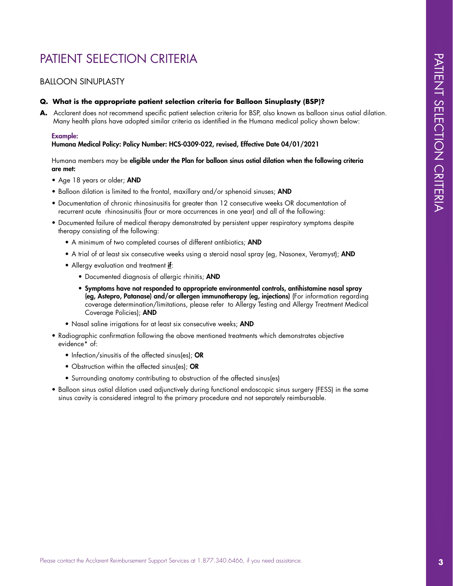## PATIENT SELECTION CRITERIA

### BALLOON SINUPLASTY

#### **Q. What is the appropriate patient selection criteria for Balloon Sinuplasty (BSP)?**

**A.** Acclarent does not recommend specific patient selection criteria for BSP, also known as balloon sinus ostial dilation. Many health plans have adopted similar criteria as identified in the Humana medical policy shown below:

#### Example:

Humana Medical Policy: Policy Number: HCS-0309-022, revised, Effective Date 04/01/2021

Humana members may be eligible under the Plan for balloon sinus ostial dilation when the following criteria are met:

- Age 18 years or older; **AND**
- Balloon dilation is limited to the frontal, maxillary and/or sphenoid sinuses; AND
- Documentation of chronic rhinosinusitis for greater than 12 consecutive weeks OR documentation of recurrent acute rhinosinusitis (four or more occurrences in one year) and all of the following:
- Documented failure of medical therapy demonstrated by persistent upper respiratory symptoms despite therapy consisting of the following:
	- A minimum of two completed courses of different antibiotics; AND
	- A trial of at least six consecutive weeks using a steroid nasal spray (eq, Nasonex, Veramyst); AND
	- Allergy evaluation and treatment if:
		- Documented diagnosis of allergic rhinitis; AND
		- Symptoms have not responded to appropriate environmental controls, antihistamine nasal spray (eg, Astepro, Patanase) and/or allergen immunotherapy (eg, injections) (For information regarding coverage determination/limitations, please refer to Allergy Testing and Allergy Treatment Medical Coverage Policies); AND
	- Nasal saline irrigations for at least six consecutive weeks; AND
- Radiographic confirmation following the above mentioned treatments which demonstrates objective evidence\* of:
	- Infection/sinusitis of the affected sinus(es); OR
	- Obstruction within the affected sinus(es); OR
	- Surrounding anatomy contributing to obstruction of the affected sinus(es)
- Balloon sinus ostial dilation used adjunctively during functional endoscopic sinus surgery (FESS) in the same sinus cavity is considered integral to the primary procedure and not separately reimbursable.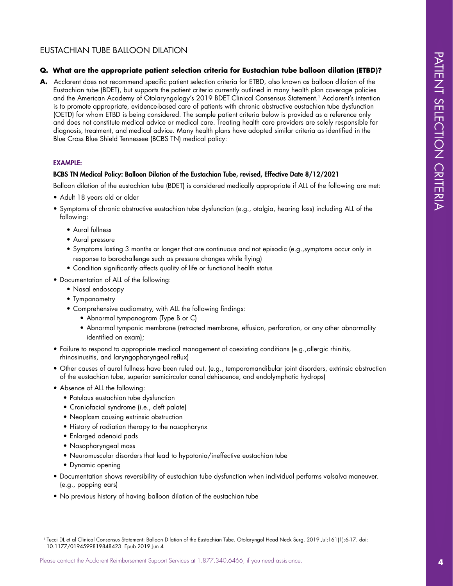## EUSTACHIAN TUBE BALLOON DILATION

#### **Q. What are the appropriate patient selection criteria for Eustachian tube balloon dilation (ETBD)?**

**A.** Acclarent does not recommend specific patient selection criteria for ETBD, also known as balloon dilation of the Eustachian tube (BDET), but supports the patient criteria currently outlined in many health plan coverage policies and the American Academy of Otolaryngology's 2019 BDET Clinical Consensus Statement.1 Acclarent's intention is to promote appropriate, evidence-based care of patients with chronic obstructive eustachian tube dysfunction (OETD) for whom ETBD is being considered. The sample patient criteria below is provided as a reference only and does not constitute medical advice or medical care. Treating health care providers are solely responsible for diagnosis, treatment, and medical advice. Many health plans have adopted similar criteria as identified in the Blue Cross Blue Shield Tennessee (BCBS TN) medical policy:

#### EXAMPLE:

#### BCBS TN Medical Policy: Balloon Dilation of the Eustachian Tube, revised, Effective Date 8/12/2021

Balloon dilation of the eustachian tube (BDET) is considered medically appropriate if ALL of the following are met:

- Adult 18 years old or older
- Symptoms of chronic obstructive eustachian tube dysfunction (e.g., otalgia, hearing loss) including ALL of the following:
	- Aural fullness
	- Aural pressure
	- Symptoms lasting 3 months or longer that are continuous and not episodic (e.g.,symptoms occur only in response to barochallenge such as pressure changes while flying)
	- Condition significantly affects quality of life or functional health status
- Documentation of ALL of the following:
	- Nasal endoscopy
	- Tympanometry
	- Comprehensive audiometry, with ALL the following findings:
		- Abnormal tympanogram (Type B or C)
		- Abnormal tympanic membrane (retracted membrane, effusion, perforation, or any other abnormality identified on exam);
- Failure to respond to appropriate medical management of coexisting conditions (e.g.,allergic rhinitis, rhinosinusitis, and laryngopharyngeal reflux)
- Other causes of aural fullness have been ruled out. (e.g., temporomandibular joint disorders, extrinsic obstruction of the eustachian tube, superior semicircular canal dehiscence, and endolymphatic hydrops)
- Absence of ALL the following:
	- Patulous eustachian tube dysfunction
	- Craniofacial syndrome (i.e., cleft palate)
	- Neoplasm causing extrinsic obstruction
	- History of radiation therapy to the nasopharynx
	- Enlarged adenoid pads
	- Nasopharyngeal mass
	- Neuromuscular disorders that lead to hypotonia/ineffective eustachian tube
	- Dynamic opening
- Documentation shows reversibility of eustachian tube dysfunction when individual performs valsalva maneuver. (e.g., popping ears)
- No previous history of having balloon dilation of the eustachian tube

<sup>1</sup> Tucci DL et al Clinical Consensus Statement: Balloon Dilation of the Eustachian Tube. Otolaryngol Head Neck Surg. 2019 Jul;161(1):6-17. doi: 10.1177/0194599819848423. Epub 2019 Jun 4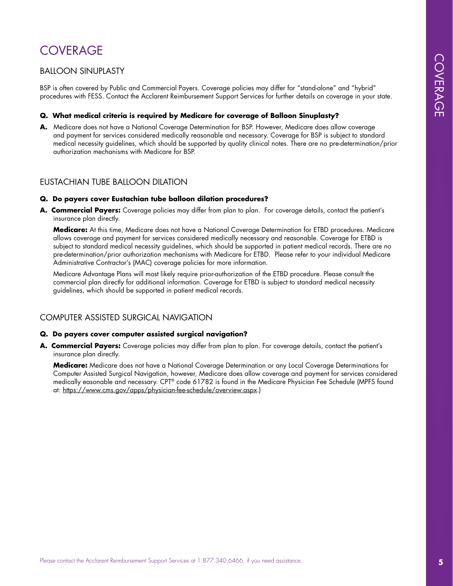## COVERAGE

## BALLOON SINUPLASTY

BSP is often covered by Public and Commercial Payers. Coverage policies may differ for "stand-alone" and "hybrid" procedures with FESS. Contact the Acclarent Reimbursement Support Services for further details on coverage in your state.

#### **Q. What medical criteria is required by Medicare for coverage of Balloon Sinuplasty?**

**A.** Medicare does not have a National Coverage Determination for BSP. However, Medicare does allow coverage and payment for services considered medically reasonable and necessary. Coverage for BSP is subject to standard medical necessity guidelines, which should be supported by quality clinical notes. There are no pre-determination/prior authorization mechanisms with Medicare for BSP.

### EUSTACHIAN TUBE BALLOON DILATION

#### **Q. Do payers cover Eustachian tube balloon dilation procedures?**

**A. Commercial Payers:** Coverage policies may differ from plan to plan. For coverage details, contact the patient's insurance plan directly.

**Medicare:** At this time, Medicare does not have a National Coverage Determination for ETBD procedures. Medicare allows coverage and payment for services considered medically necessary and reasonable. Coverage for ETBD is subject to standard medical necessity guidelines, which should be supported in patient medical records. There are no pre-determination/prior authorization mechanisms with Medicare for ETBD. Please refer to your individual Medicare Administrative Contractor's (MAC) coverage policies for more information.

Medicare Advantage Plans will most likely require prior-authorization of the ETBD procedure. Please consult the commercial plan directly for additional information. Coverage for ETBD is subject to standard medical necessity guidelines, which should be supported in patient medical records.

### COMPUTER ASSISTED SURGICAL NAVIGATION

#### **Q. Do payers cover computer assisted surgical navigation?**

**A. Commercial Payers:** Coverage policies may differ from plan to plan. For coverage details, contact the patient's insurance plan directly.

**Medicare:** Medicare does not have a National Coverage Determination or any Local Coverage Determinations for Computer Assisted Surgical Navigation, however, Medicare does allow coverage and payment for services considered medically easonable and necessary. CPT® code 61782 is found in the Medicare Physician Fee Schedule (MPFS found at: <https://www.cms.gov/apps/physician-fee-schedule/overview.aspx>.)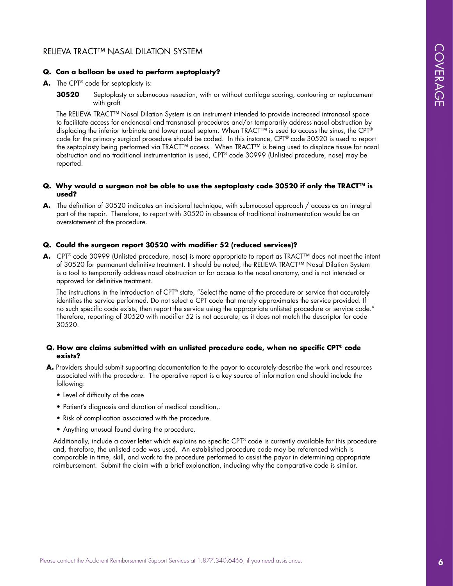## RELIEVA TRACT™ NASAL DILATION SYSTEM

#### **Q. Can a balloon be used to perform septoplasty?**

- **A.** The CPT® code for septoplasty is:
	- **30520** Septoplasty or submucous resection, with or without cartilage scoring, contouring or replacement with araft

The RELIEVA TRACT™ Nasal Dilation System is an instrument intended to provide increased intranasal space to facilitate access for endonasal and transnasal procedures and/or temporarily address nasal obstruction by displacing the inferior turbinate and lower nasal septum. When TRACT™ is used to access the sinus, the CPT® code for the primary surgical procedure should be coded. In this instance, CPT® code 30520 is used to report the septoplasty being performed via TRACT™ access. When TRACT™ is being used to displace tissue for nasal obstruction and no traditional instrumentation is used, CPT® code 30999 (Unlisted procedure, nose) may be reported.

#### **Q. Why would a surgeon not be able to use the septoplasty code 30520 if only the TRACT™ is used?**

**A.** The definition of 30520 indicates an incisional technique, with submucosal approach / access as an integral part of the repair. Therefore, to report with 30520 in absence of traditional instrumentation would be an overstatement of the procedure.

#### **Q. Could the surgeon report 30520 with modifier 52 (reduced services)?**

**A.** CPT® code 30999 (Unlisted procedure, nose) is more appropriate to report as TRACT™ does not meet the intent of 30520 for permanent definitive treatment. It should be noted, the RELIEVA TRACT™ Nasal Dilation System is a tool to temporarily address nasal obstruction or for access to the nasal anatomy, and is not intended or approved for definitive treatment.

The instructions in the Introduction of CPT® state, "Select the name of the procedure or service that accurately identifies the service performed. Do not select a CPT code that merely approximates the service provided. If no such specific code exists, then report the service using the appropriate unlisted procedure or service code." Therefore, reporting of 30520 with modifier 52 is not accurate, as it does not match the descriptor for code 30520.

#### **Q. How are claims submitted with an unlisted procedure code, when no specific CPT® code exists?**

- **A.** Providers should submit supporting documentation to the payor to accurately describe the work and resources associated with the procedure. The operative report is a key source of information and should include the following:
	- Level of difficulty of the case
	- Patient's diagnosis and duration of medical condition,.
	- Risk of complication associated with the procedure.
	- Anything unusual found during the procedure.

Additionally, include a cover letter which explains no specific CPT® code is currently available for this procedure and, therefore, the unlisted code was used. An established procedure code may be referenced which is comparable in time, skill, and work to the procedure performed to assist the payor in determining appropriate reimbursement. Submit the claim with a brief explanation, including why the comparative code is similar.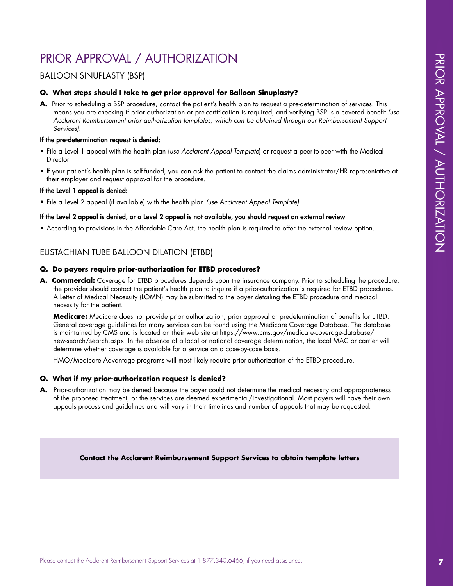## PRIOR APPROVAL / AUTHORIZATION

## BALLOON SINUPLASTY (BSP)

#### **Q. What steps should I take to get prior approval for Balloon Sinuplasty?**

**A.** Prior to scheduling a BSP procedure, contact the patient's health plan to request a pre-determination of services. This means you are checking if prior authorization or pre-certification is required, and verifying BSP is a covered benefit *(use Acclarent Reimbursement prior authorization templates, which can be obtained through our Reimbursement Support Services)*.

#### If the pre-determination request is denied:

- File a Level 1 appeal with the health plan (*use Acclarent Appeal Template*) or request a peer-to-peer with the Medical Director.
- If your patient's health plan is self-funded, you can ask the patient to contact the claims administrator/HR representative at their employer and request approval for the procedure.

#### If the Level 1 appeal is denied:

• File a Level 2 appeal (if available) with the health plan *(use Acclarent Appeal Template)*.

#### If the Level 2 appeal is denied, or a Level 2 appeal is not available, you should request an external review

• According to provisions in the Affordable Care Act, the health plan is required to offer the external review option.

## EUSTACHIAN TUBE BALLOON DILATION (ETBD)

#### **Q. Do payers require prior-authorization for ETBD procedures?**

**A. Commercial:** Coverage for ETBD procedures depends upon the insurance company. Prior to scheduling the procedure, the provider should contact the patient's health plan to inquire if a prior-authorization is required for ETBD procedures. A Letter of Medical Necessity (LOMN) may be submitted to the payer detailing the ETBD procedure and medical necessity for the patient.

PRECIVAL / ALTHORIZATION<br> **ALTHORIZATION**<br> **Contact the Acceler Support Support Support Support Support Support Support Support Support Support Support Support Support Support Support Support Support Support Support Suppor Medicare:** Medicare does not provide prior authorization, prior approval or predetermination of benefits for ETBD. General coverage guidelines for many services can be found using the Medicare Coverage Database. The database is maintained by CMS and is located on their web site at [https://www.cms.gov/medicare-coverage-database/](https://www.cms.gov/medicare-coverage-database/new-search/search.aspx) [new-search/search.aspx.](https://www.cms.gov/medicare-coverage-database/new-search/search.aspx) In the absence of a local or national coverage determination, the local MAC or carrier will determine whether coverage is available for a service on a case-by-case basis.

HMO/Medicare Advantage programs will most likely require prior-authorization of the ETBD procedure.

#### **Q. What if my prior-authorization request is denied?**

**A.** Prior-authorization may be denied because the payer could not determine the medical necessity and appropriateness of the proposed treatment, or the services are deemed experimental/investigational. Most payers will have their own appeals process and guidelines and will vary in their timelines and number of appeals that may be requested.

**Contact the Acclarent Reimbursement Support Services to obtain template letters**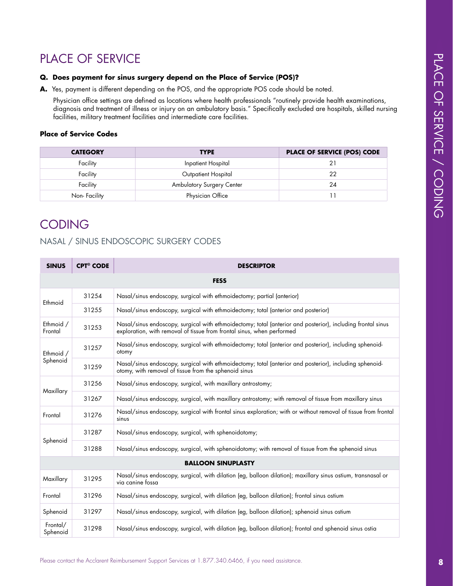## PLACE OF SERVICE

### **Q. Does payment for sinus surgery depend on the Place of Service (POS)?**

### **Place of Service Codes**

| <b>CATEGORY</b> | <b>TYPE</b>               | PLACE OF SERVICE (POS) CODE |
|-----------------|---------------------------|-----------------------------|
| Facility        | Inpatient Hospital        |                             |
| Facility        | Outpatient Hospital       | つつ                          |
| Facility        | Ambulatory Surgery Center |                             |
| Non-Facility    | Physician Office          |                             |

## CODING

## NASAL / SINUS ENDOSCOPIC SURGERY CODES

|                                              |                               | A. Yes, payment is different depending on the POS, and the appropriate POS code should be noted.<br>facilities, military treatment facilities and intermediate care facilities.       | Physician office settings are defined as locations where health professionals "routinely provide health examinations,<br>diagnosis and treatment of illness or injury on an ambulatory basis." Specifically excluded are hospitals, skilled nursing |  |
|----------------------------------------------|-------------------------------|---------------------------------------------------------------------------------------------------------------------------------------------------------------------------------------|-----------------------------------------------------------------------------------------------------------------------------------------------------------------------------------------------------------------------------------------------------|--|
|                                              | <b>Place of Service Codes</b> |                                                                                                                                                                                       |                                                                                                                                                                                                                                                     |  |
|                                              | <b>CATEGORY</b>               | <b>TYPE</b>                                                                                                                                                                           | PLACE OF SERVICE (POS) CODE                                                                                                                                                                                                                         |  |
|                                              | Facility                      | Inpatient Hospital                                                                                                                                                                    | 21                                                                                                                                                                                                                                                  |  |
| Facility<br>Facility                         |                               | Outpatient Hospital<br>Ambulatory Surgery Center                                                                                                                                      | 22<br>24                                                                                                                                                                                                                                            |  |
|                                              | Non-Facility                  | Physician Office                                                                                                                                                                      | 11                                                                                                                                                                                                                                                  |  |
| <b>SINUS</b>                                 | <b>CPT<sup>®</sup> CODE</b>   | NASAL / SINUS ENDOSCOPIC SURGERY CODES                                                                                                                                                | <b>DESCRIPTOR</b>                                                                                                                                                                                                                                   |  |
|                                              |                               | <b>FESS</b>                                                                                                                                                                           |                                                                                                                                                                                                                                                     |  |
|                                              | 31254                         |                                                                                                                                                                                       | Nasal/sinus endoscopy, surgical with ethmoidectomy; partial (anterior)                                                                                                                                                                              |  |
| Ethmoid                                      | 31255                         | Nasal/sinus endoscopy, surgical with ethmoidectomy; total (anterior and posterior)                                                                                                    |                                                                                                                                                                                                                                                     |  |
| Ethmoid /<br>Frontal                         | 31253                         | Nasal/sinus endoscopy, surgical with ethmoidectomy; total (anterior and posterior), including frontal sinus<br>exploration, with removal of tissue from frontal sinus, when performed |                                                                                                                                                                                                                                                     |  |
| Ethmoid /                                    | 31257                         | Nasal/sinus endoscopy, surgical with ethmoidectomy; total (anterior and posterior), including sphenoid-<br>otomy                                                                      |                                                                                                                                                                                                                                                     |  |
| Sphenoid                                     | 31259                         | otomy, with removal of tissue from the sphenoid sinus                                                                                                                                 | Nasal/sinus endoscopy, surgical with ethmoidectomy; total (anterior and posterior), including sphenoid-                                                                                                                                             |  |
| Maxillary                                    | 31256                         |                                                                                                                                                                                       | Nasal/sinus endoscopy, surgical, with maxillary antrostomy;                                                                                                                                                                                         |  |
|                                              | 31267                         |                                                                                                                                                                                       | Nasal/sinus endoscopy, surgical, with maxillary antrostomy; with removal of tissue from maxillary sinus                                                                                                                                             |  |
| Frontal                                      | 31276                         | sinus                                                                                                                                                                                 | Nasal/sinus endoscopy, surgical with frontal sinus exploration; with or without removal of tissue from frontal                                                                                                                                      |  |
| Sphenoid                                     | 31287                         | Nasal/sinus endoscopy, surgical, with sphenoidotomy;                                                                                                                                  |                                                                                                                                                                                                                                                     |  |
|                                              | 31288                         |                                                                                                                                                                                       | Nasal/sinus endoscopy, surgical, with sphenoidotomy; with removal of tissue from the sphenoid sinus                                                                                                                                                 |  |
|                                              |                               | <b>BALLOON SINUPLASTY</b>                                                                                                                                                             |                                                                                                                                                                                                                                                     |  |
|                                              | 31295                         | via canine fossa                                                                                                                                                                      | Nasal/sinus endoscopy, surgical, with dilation (eg, balloon dilation); maxillary sinus ostium, transnasal or                                                                                                                                        |  |
|                                              |                               | Nasal/sinus endoscopy, surgical, with dilation (eg, balloon dilation); frontal sinus ostium                                                                                           |                                                                                                                                                                                                                                                     |  |
|                                              | 31296                         |                                                                                                                                                                                       | Nasal/sinus endoscopy, surgical, with dilation (eg, balloon dilation); sphenoid sinus ostium                                                                                                                                                        |  |
| Maxillary<br>Frontal<br>Sphenoid<br>Frontal/ | 31297                         |                                                                                                                                                                                       |                                                                                                                                                                                                                                                     |  |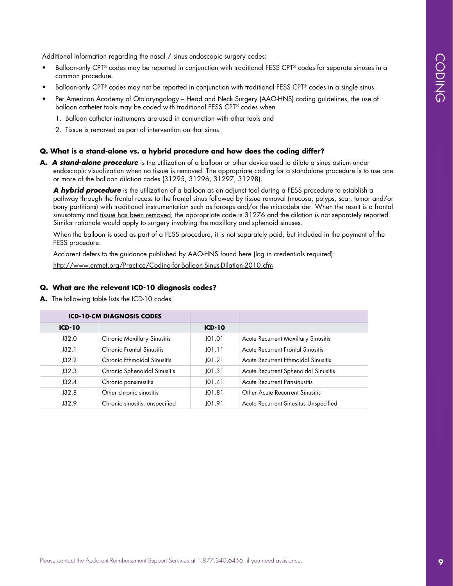Additional information regarding the nasal / sinus endoscopic surgery codes:

- Balloon-only CPT® codes may be reported in conjunction with traditional FESS CPT® codes for separate sinuses in a common procedure.
- Balloon-only CPT® codes may not be reported in conjunction with traditional FESS CPT® codes in a single sinus.
- Per American Academy of Otolaryngology Head and Neck Surgery (AAO-HNS) coding guidelines, the use of balloon catheter tools may be coded with traditional FESS CPT® codes when
	- 1. Balloon catheter instruments are used in conjunction with other tools and
	- 2. Tissue is removed as part of intervention on that sinus.

#### **Q. What is a stand-alone vs. a hybrid procedure and how does the coding differ?**

**A.** *A stand-alone procedure* is the utilization of a balloon or other device used to dilate a sinus ostium under endoscopic visualization when no tissue is removed. The appropriate coding for a standalone procedure is to use one or more of the balloon dilation codes (31295, 31296, 31297, 31298).

A hybrid procedure is the utilization of a balloon as an adjunct tool during a FESS procedure to establish a pathway through the frontal recess to the frontal sinus followed by tissue removal (mucosa, polyps, scar, tumor and/or bony partitions) with traditional instrumentation such as forceps and/or the microdebrider. When the result is a frontal sinusotomy and tissue has been removed, the appropriate code is 31276 and the dilation is not separately reported. Similar rationale would apply to surgery involving the maxillary and sphenoid sinuses.

When the balloon is used as part of a FESS procedure, it is not separately paid, but included in the payment of the FESS procedure.

Acclarent defers to the guidance published by AAO-HNS found here (log in credentials required):

<http://www.entnet.org/Practice/Coding-for-Balloon-Sinus-Dilation-2010.cfm>

#### **Q. What are the relevant ICD-10 diagnosis codes?**

**A.** The following table lists the ICD-10 codes.

|          | <b>ICD-10-CM DIAGNOSIS CODES</b>   |          |                                       |
|----------|------------------------------------|----------|---------------------------------------|
| $ICD-10$ |                                    | $ICD-10$ |                                       |
| J32.0    | <b>Chronic Maxillary Sinusitis</b> | JO1.01   | Acute Recurrent Maxillary Sinusitis   |
| J32.1    | Chronic Frontal Sinusitis          | JO1.11   | Acute Recurrent Frontal Sinusitis     |
| J32.2    | Chronic Ethmoidal Sinusitis        | JO1.21   | Acute Recurrent Ethmoidal Sinusitis   |
| J32.3    | Chronic Sphenoidal Sinusitis       | JO1.31   | Acute Recurrent Sphenoidal Sinusitis  |
| J32.4    | Chronic pansinusitis               | JO1.41   | <b>Acute Recurrent Pansinusitis</b>   |
| J32.8    | Other chronic sinusitis            | JO1.81   | Other Acute Recurrent Sinusitis       |
| J32.9    | Chronic sinusitis, unspecified     | J01.91   | Acute Recurrent Sinusitus Unspecified |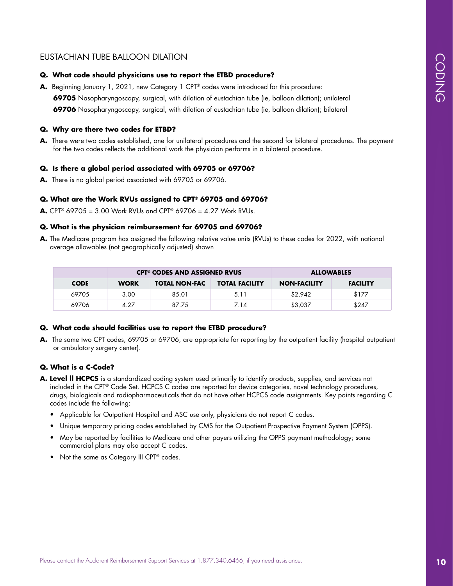## EUSTACHIAN TUBE BALLOON DILATION

#### **Q. What code should physicians use to report the ETBD procedure?**

#### **Q. Why are there two codes for ETBD?**

#### **Q. Is there a global period associated with 69705 or 69706?**

#### **Q. What are the Work RVUs assigned to CPT® 69705 and 69706?**

#### **Q. What is the physician reimbursement for 69705 and 69706?**

| A. Beginning January 1, 2021, new Category 1 CPT® codes were introduced for this procedure:       |             |                                                                                                 | Q. What code should physicians use to report the ETBD procedure? |                                                                                                                                                                                                                                                                                                                                                                                                                                                                                                                                                                               |                 |
|---------------------------------------------------------------------------------------------------|-------------|-------------------------------------------------------------------------------------------------|------------------------------------------------------------------|-------------------------------------------------------------------------------------------------------------------------------------------------------------------------------------------------------------------------------------------------------------------------------------------------------------------------------------------------------------------------------------------------------------------------------------------------------------------------------------------------------------------------------------------------------------------------------|-----------------|
|                                                                                                   |             |                                                                                                 |                                                                  |                                                                                                                                                                                                                                                                                                                                                                                                                                                                                                                                                                               |                 |
|                                                                                                   |             |                                                                                                 |                                                                  | 69705 Nasopharyngoscopy, surgical, with dilation of eustachian tube (ie, balloon dilation); unilateral                                                                                                                                                                                                                                                                                                                                                                                                                                                                        |                 |
|                                                                                                   |             |                                                                                                 |                                                                  | 69706 Nasopharyngoscopy, surgical, with dilation of eustachian tube (ie, balloon dilation); bilateral                                                                                                                                                                                                                                                                                                                                                                                                                                                                         |                 |
| Q. Why are there two codes for ETBD?                                                              |             |                                                                                                 |                                                                  |                                                                                                                                                                                                                                                                                                                                                                                                                                                                                                                                                                               |                 |
|                                                                                                   |             | for the two codes reflects the additional work the physician performs in a bilateral procedure. |                                                                  | A. There were two codes established, one for unilateral procedures and the second for bilateral procedures. The payment                                                                                                                                                                                                                                                                                                                                                                                                                                                       |                 |
|                                                                                                   |             | Q. Is there a global period associated with 69705 or 69706?                                     |                                                                  |                                                                                                                                                                                                                                                                                                                                                                                                                                                                                                                                                                               |                 |
|                                                                                                   |             | <b>A.</b> There is no global period associated with 69705 or 69706.                             |                                                                  |                                                                                                                                                                                                                                                                                                                                                                                                                                                                                                                                                                               |                 |
|                                                                                                   |             | Q. What are the Work RVUs assigned to CPT® 69705 and 69706?                                     |                                                                  |                                                                                                                                                                                                                                                                                                                                                                                                                                                                                                                                                                               |                 |
|                                                                                                   |             | <b>A.</b> CPT® 69705 = 3.00 Work RVUs and CPT® 69706 = 4.27 Work RVUs.                          |                                                                  |                                                                                                                                                                                                                                                                                                                                                                                                                                                                                                                                                                               |                 |
|                                                                                                   |             | Q. What is the physician reimbursement for 69705 and 69706?                                     |                                                                  |                                                                                                                                                                                                                                                                                                                                                                                                                                                                                                                                                                               |                 |
|                                                                                                   |             | <b>CPT<sup>®</sup> CODES AND ASSIGNED RVUS</b>                                                  |                                                                  | <b>ALLOWABLES</b>                                                                                                                                                                                                                                                                                                                                                                                                                                                                                                                                                             |                 |
| <b>CODE</b>                                                                                       | <b>WORK</b> | <b>TOTAL NON-FAC</b>                                                                            | <b>TOTAL FACILITY</b>                                            | NON-FACILITY                                                                                                                                                                                                                                                                                                                                                                                                                                                                                                                                                                  | <b>FACILITY</b> |
| 69705                                                                                             | 3.00        | 85.01                                                                                           | 5.11                                                             | \$2,942                                                                                                                                                                                                                                                                                                                                                                                                                                                                                                                                                                       | \$177           |
| 69706                                                                                             | 4.27        | 87.75                                                                                           | 7.14                                                             | \$3,037                                                                                                                                                                                                                                                                                                                                                                                                                                                                                                                                                                       | \$247           |
| or ambulatory surgery center).                                                                    |             |                                                                                                 |                                                                  |                                                                                                                                                                                                                                                                                                                                                                                                                                                                                                                                                                               |                 |
| Q. What is a C-Code?<br>codes include the following:<br>commercial plans may also accept C codes. |             | Applicable for Outpatient Hospital and ASC use only, physicians do not report C codes.          |                                                                  | A. Level II HCPCS is a standardized coding system used primarily to identify products, supplies, and services not<br>included in the CPT® Code Set. HCPCS C codes are reported for device categories, novel technology procedures,<br>drugs, biologicals and radiopharmaceuticals that do not have other HCPCS code assignments. Key points regarding C<br>Unique temporary pricing codes established by CMS for the Outpatient Prospective Payment System (OPPS).<br>May be reported by facilities to Medicare and other payers utilizing the OPPS payment methodology; some |                 |

#### **Q. What code should facilities use to report the ETBD procedure?**

#### **Q. What is a C-Code?**

- **A. Level ll HCPCS** is a standardized coding system used primarily to identify products, supplies, and services not included in the CPT® Code Set. HCPCS C codes are reported for device categories, novel technology procedures, drugs, biologicals and radiopharmaceuticals that do not have other HCPCS code assignments. Key points regarding C codes include the following:
	- Applicable for Outpatient Hospital and ASC use only, physicians do not report C codes.
	- Unique temporary pricing codes established by CMS for the Outpatient Prospective Payment System (OPPS).
	- May be reported by facilities to Medicare and other payers utilizing the OPPS payment methodology; some commercial plans may also accept C codes.
	- Not the same as Category III CPT<sup>®</sup> codes.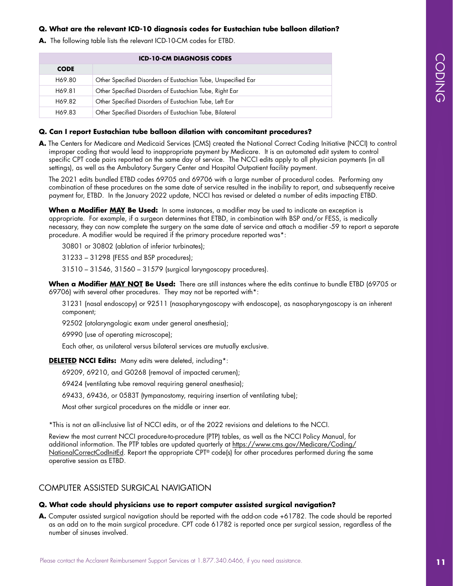## **Q. What are the relevant ICD-10 diagnosis codes for Eustachian tube balloon dilation?**

**A.** The following table lists the relevant ICD-10-CM codes for ETBD.

|                             | <b>ICD-10-CM DIAGNOSIS CODES</b>                                                                                                                                                                                                                                                                                                                                                                                                                                    |        |
|-----------------------------|---------------------------------------------------------------------------------------------------------------------------------------------------------------------------------------------------------------------------------------------------------------------------------------------------------------------------------------------------------------------------------------------------------------------------------------------------------------------|--------|
| <b>CODE</b>                 |                                                                                                                                                                                                                                                                                                                                                                                                                                                                     | CODING |
| H69.80                      | Other Specified Disorders of Eustachian Tube, Unspecified Ear                                                                                                                                                                                                                                                                                                                                                                                                       |        |
| H69.81                      | Other Specified Disorders of Eustachian Tube, Right Ear                                                                                                                                                                                                                                                                                                                                                                                                             |        |
| H69.82                      | Other Specified Disorders of Eustachian Tube, Left Ear                                                                                                                                                                                                                                                                                                                                                                                                              |        |
| H69.83                      | Other Specified Disorders of Eustachian Tube, Bilateral                                                                                                                                                                                                                                                                                                                                                                                                             |        |
|                             | Q. Can I report Eustachian tube balloon dilation with concomitant procedures?                                                                                                                                                                                                                                                                                                                                                                                       |        |
|                             | A. The Centers for Medicare and Medicaid Services (CMS) created the National Correct Coding Initiative (NCCI) to control<br>improper coding that would lead to inappropriate payment by Medicare. It is an automated edit system to control<br>specific CPT code pairs reported on the same day of service. The NCCI edits apply to all physician payments (in all<br>settings), as well as the Ambulatory Surgery Center and Hospital Outpatient facility payment. |        |
|                             | The 2021 edits bundled ETBD codes 69705 and 69706 with a large number of procedural codes. Performing any<br>combination of these procedures on the same date of service resulted in the inability to report, and subsequently receive<br>payment for, ETBD. In the January 2022 update, NCCI has revised or deleted a number of edits impacting ETBD.                                                                                                              |        |
|                             | When a Modifier MAY Be Used: In some instances, a modifier may be used to indicate an exception is<br>appropriate. For example, if a surgeon determines that ETBD, in combination with BSP and/or FESS, is medically<br>necessary, they can now complete the surgery on the same date of service and attach a modifier -59 to report a separate<br>procedure. A modifier would be required if the primary procedure reported was*:                                  |        |
|                             | 30801 or 30802 (ablation of inferior turbinates);                                                                                                                                                                                                                                                                                                                                                                                                                   |        |
|                             | 31233 - 31298 (FESS and BSP procedures);                                                                                                                                                                                                                                                                                                                                                                                                                            |        |
|                             | 31510 - 31546, 31560 - 31579 (surgical laryngoscopy procedures).                                                                                                                                                                                                                                                                                                                                                                                                    |        |
|                             | When a Modifier MAY NOT Be Used: There are still instances where the edits continue to bundle ETBD (69705 or<br>69706) with several other procedures. They may not be reported with*:                                                                                                                                                                                                                                                                               |        |
| component;                  | 31231 (nasal endoscopy) or 92511 (nasopharyngoscopy with endoscope), as nasopharyngoscopy is an inherent                                                                                                                                                                                                                                                                                                                                                            |        |
|                             | 92502 (otolaryngologic exam under general anesthesia);                                                                                                                                                                                                                                                                                                                                                                                                              |        |
|                             | 69990 (use of operating microscope);                                                                                                                                                                                                                                                                                                                                                                                                                                |        |
|                             | Each other, as unilateral versus bilateral services are mutually exclusive.                                                                                                                                                                                                                                                                                                                                                                                         |        |
|                             | <b>DELETED NCCI Edits:</b> Many edits were deleted, including*:                                                                                                                                                                                                                                                                                                                                                                                                     |        |
|                             | 69209, 69210, and G0268 (removal of impacted cerumen);                                                                                                                                                                                                                                                                                                                                                                                                              |        |
|                             | 69424 (ventilating tube removal requiring general anesthesia);                                                                                                                                                                                                                                                                                                                                                                                                      |        |
|                             | 69433, 69436, or 0583T (tympanostomy, requiring insertion of ventilating tube);                                                                                                                                                                                                                                                                                                                                                                                     |        |
|                             | Most other surgical procedures on the middle or inner ear.                                                                                                                                                                                                                                                                                                                                                                                                          |        |
|                             |                                                                                                                                                                                                                                                                                                                                                                                                                                                                     |        |
|                             | *This is not an all-inclusive list of NCCI edits, or of the 2022 revisions and deletions to the NCCI.                                                                                                                                                                                                                                                                                                                                                               |        |
| operative session as ETBD.  | Review the most current NCCI procedure-to-procedure (PTP) tables, as well as the NCCI Policy Manual, for<br>additional information. The PTP tables are updated quarterly at https://www.cms.gov/Medicare/Coding/<br>NationalCorrectCodInitEd. Report the appropriate CPT® code(s) for other procedures performed during the same                                                                                                                                    |        |
|                             | <b>COMPUTER ASSISTED SURGICAL NAVIGATION</b>                                                                                                                                                                                                                                                                                                                                                                                                                        |        |
|                             | Q. What code should physicians use to report computer assisted surgical navigation?                                                                                                                                                                                                                                                                                                                                                                                 |        |
| number of sinuses involved. | A. Computer assisted surgical navigation should be reported with the add-on code +61782. The code should be reported<br>as an add on to the main surgical procedure. CPT code 61782 is reported once per surgical session, regardless of the                                                                                                                                                                                                                        |        |
|                             | Please contact the Acclarent Reimbursement Support Services at 1.877.340.6466, if you need assistance.                                                                                                                                                                                                                                                                                                                                                              | 11     |

#### **Q. Can I report Eustachian tube balloon dilation with concomitant procedures?**

## COMPUTER ASSISTED SURGICAL NAVIGATION

#### **Q. What code should physicians use to report computer assisted surgical navigation?**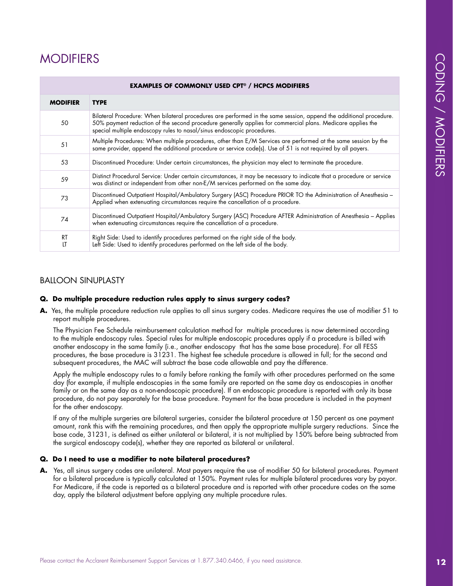## MODIFIERS

|                 | <b>EXAMPLES OF COMMONLY USED CPT<sup>®</sup> / HCPCS MODIFIERS</b>                                                                                                                                                                                                                                         |  |  |
|-----------------|------------------------------------------------------------------------------------------------------------------------------------------------------------------------------------------------------------------------------------------------------------------------------------------------------------|--|--|
| <b>MODIFIER</b> | <b>TYPE</b>                                                                                                                                                                                                                                                                                                |  |  |
| 50              | Bilateral Procedure: When bilateral procedures are performed in the same session, append the additional procedure.<br>50% payment reduction of the second procedure generally applies for commercial plans. Medicare applies the<br>special multiple endoscopy rules to nasal/sinus endoscopic procedures. |  |  |
| 51              | Multiple Procedures: When multiple procedures, other than E/M Services are performed at the same session by the<br>same provider, append the additional procedure or service code(s). Use of 51 is not required by all payers.                                                                             |  |  |
| 53              | Discontinued Procedure: Under certain circumstances, the physician may elect to terminate the procedure.                                                                                                                                                                                                   |  |  |
| 59              | Distinct Procedural Service: Under certain circumstances, it may be necessary to indicate that a procedure or service<br>was distinct or independent from other non-E/M services performed on the same day.                                                                                                |  |  |
| 73              | Discontinued Outpatient Hospital/Ambulatory Surgery (ASC) Procedure PRIOR TO the Administration of Anesthesia -<br>Applied when extenuating circumstances require the cancellation of a procedure.                                                                                                         |  |  |
| 74              | Discontinued Outpatient Hospital/Ambulatory Surgery (ASC) Procedure AFTER Administration of Anesthesia – Applies<br>when extenuating circumstances require the cancellation of a procedure.                                                                                                                |  |  |
| <b>RT</b><br>LT | Right Side: Used to identify procedures performed on the right side of the body.<br>Left Side: Used to identify procedures performed on the left side of the body.                                                                                                                                         |  |  |

### BALLOON SINUPLASTY

#### **Q. Do multiple procedure reduction rules apply to sinus surgery codes?**

**A.** Yes, the multiple procedure reduction rule applies to all sinus surgery codes. Medicare requires the use of modifier 51 to report multiple procedures.

The Physician Fee Schedule reimbursement calculation method for multiple procedures is now determined according to the multiple endoscopy rules. Special rules for multiple endoscopic procedures apply if a procedure is billed with another endoscopy in the same family (i.e., another endoscopy that has the same base procedure). For all FESS procedures, the base procedure is 31231. The highest fee schedule procedure is allowed in full; for the second and subsequent procedures, the MAC will subtract the base code allowable and pay the difference.

Apply the multiple endoscopy rules to a family before ranking the family with other procedures performed on the same day (for example, if multiple endoscopies in the same family are reported on the same day as endoscopies in another family or on the same day as a non-endoscopic procedure). If an endoscopic procedure is reported with only its base procedure, do not pay separately for the base procedure. Payment for the base procedure is included in the payment for the other endoscopy.

If any of the multiple surgeries are bilateral surgeries, consider the bilateral procedure at 150 percent as one payment amount, rank this with the remaining procedures, and then apply the appropriate multiple surgery reductions. Since the base code, 31231, is defined as either unilateral or bilateral, it is not multiplied by 150% before being subtracted from the surgical endoscopy code(s), whether they are reported as bilateral or unilateral.

#### **Q. Do I need to use a modifier to note bilateral procedures?**

**A.** Yes, all sinus surgery codes are unilateral. Most payers require the use of modifier 50 for bilateral procedures. Payment for a bilateral procedure is typically calculated at 150%. Payment rules for multiple bilateral procedures vary by payor. For Medicare, if the code is reported as a bilateral procedure and is reported with other procedure codes on the same day, apply the bilateral adjustment before applying any multiple procedure rules.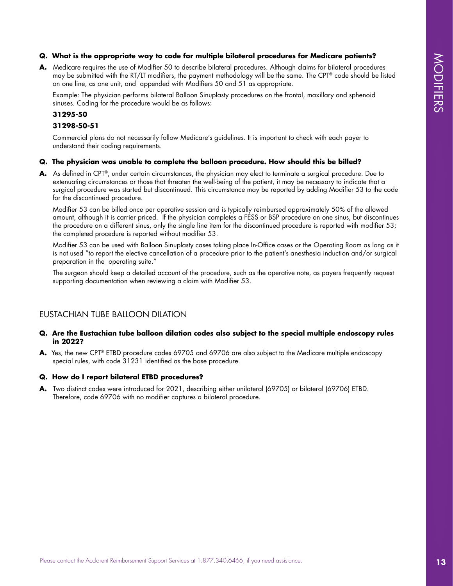#### **Q. What is the appropriate way to code for multiple bilateral procedures for Medicare patients?**

**A.** Medicare requires the use of Modifier 50 to describe bilateral procedures. Although claims for bilateral procedures may be submitted with the RT/LT modifiers, the payment methodology will be the same. The CPT® code should be listed on one line, as one unit, and appended with Modifiers 50 and 51 as appropriate.

Example: The physician performs bilateral Balloon Sinuplasty procedures on the frontal, maxillary and sphenoid sinuses. Coding for the procedure would be as follows:

#### **31295-50**

#### **31298-50-51**

Commercial plans do not necessarily follow Medicare's guidelines. It is important to check with each payer to understand their coding requirements.

#### **Q. The physician was unable to complete the balloon procedure. How should this be billed?**

**C. What is the appropriate way the cost for multiple laboration in Modifiers particles in the Acceler Support Support Support Support Support Support Support Support Support Support Support Support Support Support Support A.** As defined in CPT®, under certain circumstances, the physician may elect to terminate a surgical procedure. Due to extenuating circumstances or those that threaten the well-being of the patient, it may be necessary to indicate that a surgical procedure was started but discontinued. This circumstance may be reported by adding Modifier 53 to the code for the discontinued procedure.

Modifier 53 can be billed once per operative session and is typically reimbursed approximately 50% of the allowed amount, although it is carrier priced. If the physician completes a FESS or BSP procedure on one sinus, but discontinues the procedure on a different sinus, only the single line item for the discontinued procedure is reported with modifier 53; the completed procedure is reported without modifier 53.

Modifier 53 can be used with Balloon Sinuplasty cases taking place In-Office cases or the Operating Room as long as it is not used "to report the elective cancellation of a procedure prior to the patient's anesthesia induction and/or surgical preparation in the operating suite."

The surgeon should keep a detailed account of the procedure, such as the operative note, as payers frequently request supporting documentation when reviewing a claim with Modifier 53.

### EUSTACHIAN TUBE BALLOON DILATION

#### **Q. Are the Eustachian tube balloon dilation codes also subject to the special multiple endoscopy rules in 2022?**

**A.** Yes, the new CPT® ETBD procedure codes 69705 and 69706 are also subject to the Medicare multiple endoscopy special rules, with code 31231 identified as the base procedure.

#### **Q. How do I report bilateral ETBD procedures?**

**A.** Two distinct codes were introduced for 2021, describing either unilateral (69705) or bilateral (69706) ETBD. Therefore, code 69706 with no modifier captures a bilateral procedure.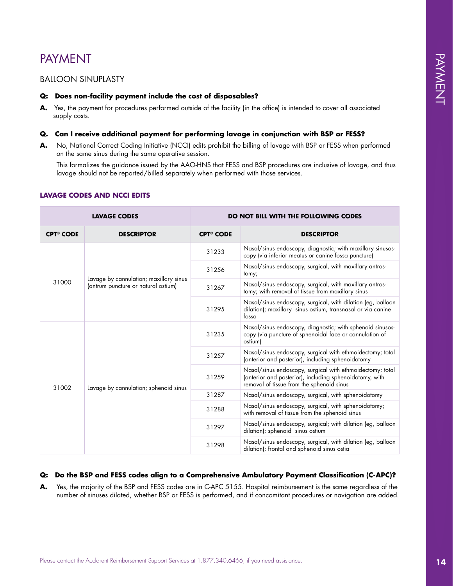## PAYMENT

## BALLOON SINUPLASTY

#### **Q: Does non-facility payment include the cost of disposables?**

#### **Q. Can I receive additional payment for performing lavage in conjunction with BSP or FESS?**

#### **LAVAGE CODES AND NCCI EDITS**

| supply costs.                                      |                                                                                                                                             |                                             | Yes, the payment for procedures performed outside of the facility (in the office) is intended to cover all associated<br>Can I receive additional payment for performing lavage in conjunction with BSP or FESS?                        |  |
|----------------------------------------------------|---------------------------------------------------------------------------------------------------------------------------------------------|---------------------------------------------|-----------------------------------------------------------------------------------------------------------------------------------------------------------------------------------------------------------------------------------------|--|
| Q.<br>А.                                           | on the same sinus during the same operative session.<br>lavage should not be reported/billed separately when performed with those services. |                                             | No, National Correct Coding Initiative (NCCI) edits prohibit the billing of lavage with BSP or FESS when performed<br>This formalizes the guidance issued by the AAO-HNS that FESS and BSP procedures are inclusive of lavage, and thus |  |
| LAVAGE CODES AND NCCI EDITS<br><b>LAVAGE CODES</b> |                                                                                                                                             | <b>DO NOT BILL WITH THE FOLLOWING CODES</b> |                                                                                                                                                                                                                                         |  |
| <b>CPT<sup>®</sup> CODE</b>                        | <b>DESCRIPTOR</b>                                                                                                                           | <b>CPT<sup>®</sup> CODE</b>                 | <b>DESCRIPTOR</b>                                                                                                                                                                                                                       |  |
|                                                    |                                                                                                                                             | 31233                                       | Nasal/sinus endoscopy, diagnostic; with maxillary sinusos-<br>copy (via inferior meatus or canine fossa puncture)                                                                                                                       |  |
|                                                    |                                                                                                                                             | 31256                                       | Nasal/sinus endoscopy, surgical, with maxillary antros-<br>tomy;                                                                                                                                                                        |  |
| 31000                                              | Lavage by cannulation; maxillary sinus<br>(antrum puncture or natural ostium)                                                               | 31267                                       | Nasal/sinus endoscopy, surgical, with maxillary antros-<br>tomy; with removal of tissue from maxillary sinus                                                                                                                            |  |
|                                                    |                                                                                                                                             | 31295                                       | Nasal/sinus endoscopy, surgical, with dilation (eg, balloon<br>dilation); maxillary sinus ostium, transnasal or via canine<br>tossa                                                                                                     |  |
|                                                    |                                                                                                                                             | 31235                                       | Nasal/sinus endoscopy, diagnostic; with sphenoid sinusos-<br>copy (via puncture of sphenoidal face or cannulation of<br>ostium)                                                                                                         |  |
|                                                    |                                                                                                                                             | 31257                                       | Nasal/sinus endoscopy, surgical with ethmoidectomy; total<br>(anterior and posterior), including sphenoidotomy                                                                                                                          |  |
| 31002                                              | Lavage by cannulation; sphenoid sinus                                                                                                       | 31259                                       | Nasal/sinus endoscopy, surgical with ethmoidectomy; total<br>(anterior and posterior), including sphenoidotomy, with<br>removal of tissue from the sphenoid sinus                                                                       |  |
|                                                    |                                                                                                                                             | 31287                                       | Nasal/sinus endoscopy, surgical, with sphenoidotomy                                                                                                                                                                                     |  |
|                                                    |                                                                                                                                             | 31288                                       | Nasal/sinus endoscopy, surgical, with sphenoidotomy;<br>with removal of tissue from the sphenoid sinus                                                                                                                                  |  |
|                                                    |                                                                                                                                             | 31297                                       | Nasal/sinus endoscopy, surgical; with dilation (eg, balloon<br>dilation); sphenoid sinus ostium                                                                                                                                         |  |
|                                                    |                                                                                                                                             | 31298                                       | Nasal/sinus endoscopy, surgical, with dilation (eg, balloon<br>dilation); frontal and sphenoid sinus ostia                                                                                                                              |  |

### **Q: Do the BSP and FESS codes align to a Comprehensive Ambulatory Payment Classification (C-APC)?**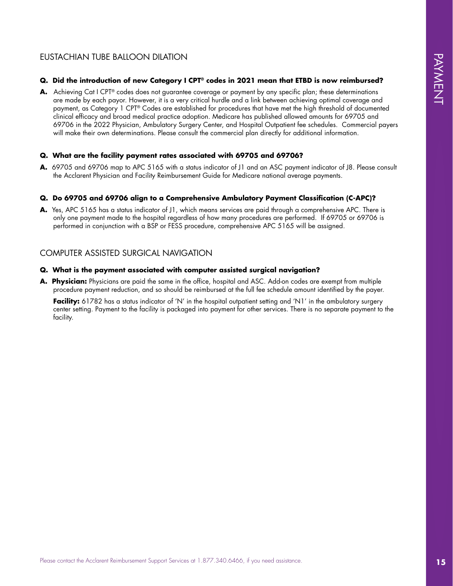## EUSTACHIAN TUBE BALLOON DILATION

#### **Q. Did the introduction of new Category I CPT® codes in 2021 mean that ETBD is now reimbursed?**

PUS IACTIMAT IUDE: BALLOON DIMATON<br>
A. Advised absolutes at ease contact the President Reimann Hart Fills is easy contact the Acceler Hart Film is easy of the Acceler Hart Film is easy of the Acceler Hart Film is easy of t **A.** Achieving Cat I CPT® codes does not guarantee coverage or payment by any specific plan; these determinations are made by each payor. However, it is a very critical hurdle and a link between achieving optimal coverage and payment, as Category 1 CPT® Codes are established for procedures that have met the high threshold of documented clinical efficacy and broad medical practice adoption. Medicare has published allowed amounts for 69705 and 69706 in the 2022 Physician, Ambulatory Surgery Center, and Hospital Outpatient fee schedules. Commercial payers will make their own determinations. Please consult the commercial plan directly for additional information.

#### **Q. What are the facility payment rates associated with 69705 and 69706?**

**A.** 69705 and 69706 map to APC 5165 with a status indicator of J1 and an ASC payment indicator of J8. Please consult the Acclarent Physician and Facility Reimbursement Guide for Medicare national average payments.

#### **Q. Do 69705 and 69706 align to a Comprehensive Ambulatory Payment Classification (C-APC)?**

**A.** Yes, APC 5165 has a status indicator of J1, which means services are paid through a comprehensive APC. There is only one payment made to the hospital regardless of how many procedures are performed. If 69705 or 69706 is performed in conjunction with a BSP or FESS procedure, comprehensive APC 5165 will be assigned.

## COMPUTER ASSISTED SURGICAL NAVIGATION

#### **Q. What is the payment associated with computer assisted surgical navigation?**

**A. Physician:** Physicians are paid the same in the office, hospital and ASC. Add-on codes are exempt from multiple procedure payment reduction, and so should be reimbursed at the full fee schedule amount identified by the payer.

Facility: 61782 has a status indicator of 'N' in the hospital outpatient setting and 'N1' in the ambulatory surgery center setting. Payment to the facility is packaged into payment for other services. There is no separate payment to the facility.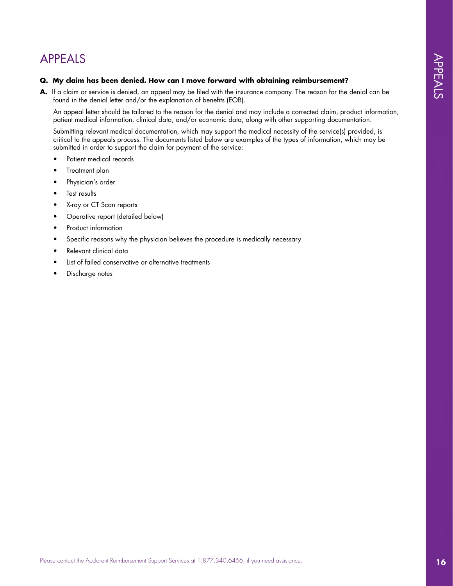## APPEALS

#### **Q. My claim has been denied. How can I move forward with obtaining reimbursement?**

**A.** If a claim or service is denied, an appeal may be filed with the insurance company. The reason for the denial can be found in the denial letter and/or the explanation of benefits (EOB).

An appeal letter should be tailored to the reason for the denial and may include a corrected claim, product information, patient medical information, clinical data, and/or economic data, along with other supporting documentation.

**Q-PIPE ALLS**<br> **P.** In claim is more in the Acciarent Regiment Support Support Support Support Support Support Support Support Support Support Support Support Support Support Support Support Support Support Support Support Submitting relevant medical documentation, which may support the medical necessity of the service(s) provided, is critical to the appeals process. The documents listed below are examples of the types of information, which may be submitted in order to support the claim for payment of the service:

- Patient medical records
- Treatment plan
- Physician's order
- Test results
- X-ray or CT Scan reports
- Operative report (detailed below)
- Product information
- Specific reasons why the physician believes the procedure is medically necessary
- Relevant clinical data
- List of failed conservative or alternative treatments
- Discharge notes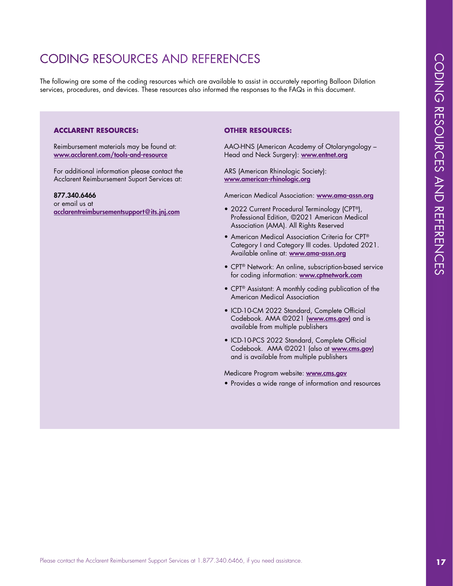## CODING RESOURCES AND REFERENCES

CODING RESOURCES AND REFERENCES<br>
His blow-granite at the Acciare Contact the Acciare Contact the Support Support Support Support Support Support Support Support Support Support Support Support Support Support Support Suppo The following are some of the coding resources which are available to assist in accurately reporting Balloon Dilation services, procedures, and devices. These resources also informed the responses to the FAQs in this document.

#### **ACCLARENT RESOURCES:**

Reimbursement materials may be found at: [www.acclarent.com/tools-and-resource](https://www.jnjmedicaldevices.com/en-US/acclarent/reimbursement-tools-and-resources)

For additional information please contact the Acclarent Reimbursement Suport Services at:

877.340.6466 or email us at [acclarentreimbursementsupport@its.jnj.com](http://acclarentreimbursementsupport@its.jnj.com)

#### **OTHER RESOURCES:**

AAO-HNS (American Academy of Otolaryngology – Head and Neck Surgery): [www.entnet.org](http://www.entnet.org/)

ARS (American Rhinologic Society): [www.american-rhinologic.org](https://www.american-rhinologic.org/%20)

American Medical Association: www.ama-assn.org

- 2022 Current Procedural Terminology (CPT®), Professional Edition, ©2021 American Medical Association (AMA). All Rights Reserved
- American Medical Association Criteria for CPT® Category I and Category III codes. Upd[a](https://www.ama-assn.org/practice- management/cpt/criteria-cpt-category-i-and-category-iii-codes. )ted 2021. Available online at: [www.ama-assn.org](http://www.ama-assn.org)
- CPT® Network: An online, subscription-based service for coding information: **<www.cptnetwork.com>**
- CPT® Assistant: A monthly coding publication of the American Medical Association
- ICD-10-CM 2022 Standard, Complete Official Codebook. AMA @2021 ([www.cms.gov](https://www.cms.gov/medicare/icd-10/2021-icd-10-cm)) and is available from multiple publishers
- ICD-10-PCS 2022 Standard, Complete Official Codebook. AMA @2021 (also at [www.cms.gov](https://www.cms.gov/medicare/icd-10/2021-icd-10-pcs)) and is available from multiple publishers

Medicare Program website: <www.cms.gov>

• Provides a wide range of information and resources